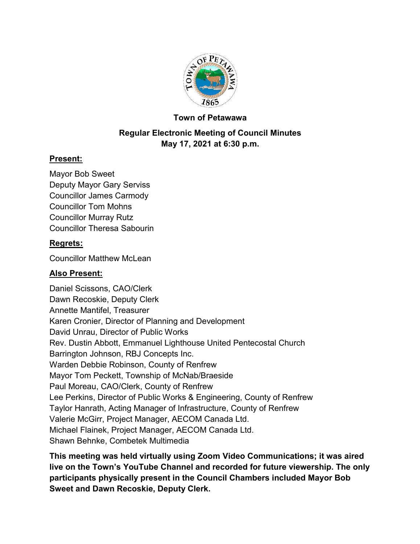

## **Town of Petawawa**

# **Regular Electronic Meeting of Council Minutes May 17, 2021 at 6:30 p.m.**

## **Present:**

Mayor Bob Sweet Deputy Mayor Gary Serviss Councillor James Carmody Councillor Tom Mohns Councillor Murray Rutz Councillor Theresa Sabourin

# **Regrets:**

Councillor Matthew McLean

# **Also Present:**

Daniel Scissons, CAO/Clerk Dawn Recoskie, Deputy Clerk Annette Mantifel, Treasurer Karen Cronier, Director of Planning and Development David Unrau, Director of Public Works Rev. Dustin Abbott, Emmanuel Lighthouse United Pentecostal Church Barrington Johnson, RBJ Concepts Inc. Warden Debbie Robinson, County of Renfrew Mayor Tom Peckett, Township of McNab/Braeside Paul Moreau, CAO/Clerk, County of Renfrew Lee Perkins, Director of Public Works & Engineering, County of Renfrew Taylor Hanrath, Acting Manager of Infrastructure, County of Renfrew Valerie McGirr, Project Manager, AECOM Canada Ltd. Michael Flainek, Project Manager, AECOM Canada Ltd. Shawn Behnke, Combetek Multimedia

**This meeting was held virtually using Zoom Video Communications; it was aired live on the Town's YouTube Channel and recorded for future viewership. The only participants physically present in the Council Chambers included Mayor Bob Sweet and Dawn Recoskie, Deputy Clerk.**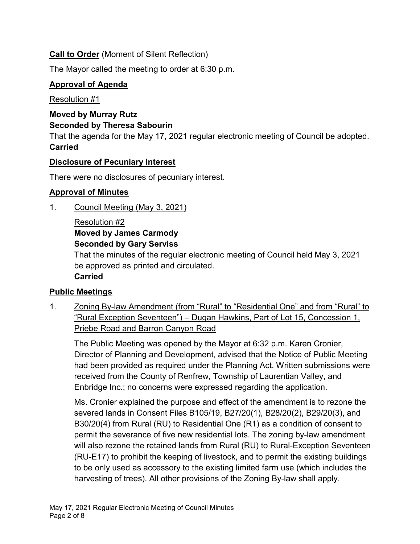# **Call to Order** (Moment of Silent Reflection)

The Mayor called the meeting to order at 6:30 p.m.

## **Approval of Agenda**

Resolution #1

### **Moved by Murray Rutz Seconded by Theresa Sabourin**

That the agenda for the May 17, 2021 regular electronic meeting of Council be adopted. **Carried**

## **Disclosure of Pecuniary Interest**

There were no disclosures of pecuniary interest.

# **Approval of Minutes**

1. Council Meeting (May 3, 2021)

#### Resolution #2 **Moved by James Carmody Seconded by Gary Serviss**

That the minutes of the regular electronic meeting of Council held May 3, 2021 be approved as printed and circulated.

**Carried**

# **Public Meetings**

1. Zoning By-law Amendment (from "Rural" to "Residential One" and from "Rural" to "Rural Exception Seventeen") – Dugan Hawkins, Part of Lot 15, Concession 1, Priebe Road and Barron Canyon Road

The Public Meeting was opened by the Mayor at 6:32 p.m. Karen Cronier, Director of Planning and Development, advised that the Notice of Public Meeting had been provided as required under the Planning Act. Written submissions were received from the County of Renfrew, Township of Laurentian Valley, and Enbridge Inc.; no concerns were expressed regarding the application.

Ms. Cronier explained the purpose and effect of the amendment is to rezone the severed lands in Consent Files B105/19, B27/20(1), B28/20(2), B29/20(3), and B30/20(4) from Rural (RU) to Residential One (R1) as a condition of consent to permit the severance of five new residential lots. The zoning by-law amendment will also rezone the retained lands from Rural (RU) to Rural-Exception Seventeen (RU-E17) to prohibit the keeping of livestock, and to permit the existing buildings to be only used as accessory to the existing limited farm use (which includes the harvesting of trees). All other provisions of the Zoning By-law shall apply.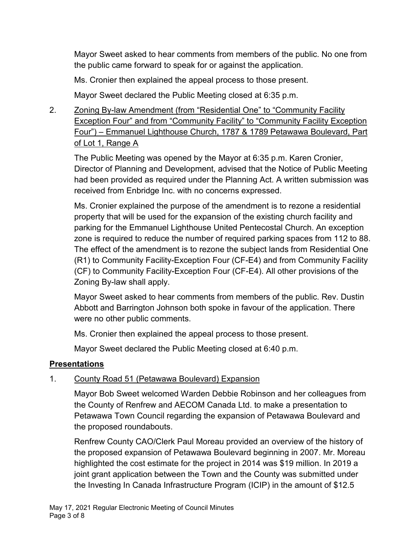Mayor Sweet asked to hear comments from members of the public. No one from the public came forward to speak for or against the application.

Ms. Cronier then explained the appeal process to those present.

Mayor Sweet declared the Public Meeting closed at 6:35 p.m.

# 2. Zoning By-law Amendment (from "Residential One" to "Community Facility Exception Four" and from "Community Facility" to "Community Facility Exception Four") – Emmanuel Lighthouse Church, 1787 & 1789 Petawawa Boulevard, Part of Lot 1, Range A

The Public Meeting was opened by the Mayor at 6:35 p.m. Karen Cronier, Director of Planning and Development, advised that the Notice of Public Meeting had been provided as required under the Planning Act. A written submission was received from Enbridge Inc. with no concerns expressed.

Ms. Cronier explained the purpose of the amendment is to rezone a residential property that will be used for the expansion of the existing church facility and parking for the Emmanuel Lighthouse United Pentecostal Church. An exception zone is required to reduce the number of required parking spaces from 112 to 88. The effect of the amendment is to rezone the subject lands from Residential One (R1) to Community Facility-Exception Four (CF-E4) and from Community Facility (CF) to Community Facility-Exception Four (CF-E4). All other provisions of the Zoning By-law shall apply.

Mayor Sweet asked to hear comments from members of the public. Rev. Dustin Abbott and Barrington Johnson both spoke in favour of the application. There were no other public comments.

Ms. Cronier then explained the appeal process to those present.

Mayor Sweet declared the Public Meeting closed at 6:40 p.m.

# **Presentations**

# 1. County Road 51 (Petawawa Boulevard) Expansion

Mayor Bob Sweet welcomed Warden Debbie Robinson and her colleagues from the County of Renfrew and AECOM Canada Ltd. to make a presentation to Petawawa Town Council regarding the expansion of Petawawa Boulevard and the proposed roundabouts.

Renfrew County CAO/Clerk Paul Moreau provided an overview of the history of the proposed expansion of Petawawa Boulevard beginning in 2007. Mr. Moreau highlighted the cost estimate for the project in 2014 was \$19 million. In 2019 a joint grant application between the Town and the County was submitted under the Investing In Canada Infrastructure Program (ICIP) in the amount of \$12.5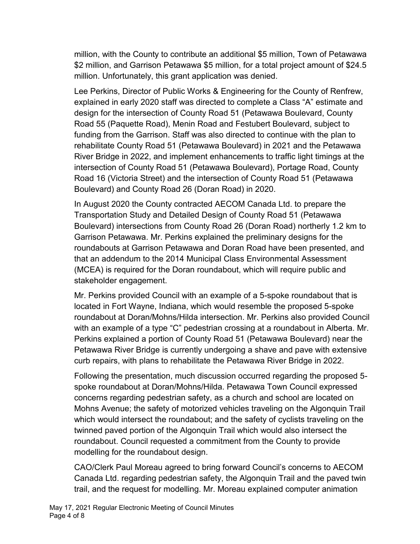million, with the County to contribute an additional \$5 million, Town of Petawawa \$2 million, and Garrison Petawawa \$5 million, for a total project amount of \$24.5 million. Unfortunately, this grant application was denied.

Lee Perkins, Director of Public Works & Engineering for the County of Renfrew, explained in early 2020 staff was directed to complete a Class "A" estimate and design for the intersection of County Road 51 (Petawawa Boulevard, County Road 55 (Paquette Road), Menin Road and Festubert Boulevard, subject to funding from the Garrison. Staff was also directed to continue with the plan to rehabilitate County Road 51 (Petawawa Boulevard) in 2021 and the Petawawa River Bridge in 2022, and implement enhancements to traffic light timings at the intersection of County Road 51 (Petawawa Boulevard), Portage Road, County Road 16 (Victoria Street) and the intersection of County Road 51 (Petawawa Boulevard) and County Road 26 (Doran Road) in 2020.

In August 2020 the County contracted AECOM Canada Ltd. to prepare the Transportation Study and Detailed Design of County Road 51 (Petawawa Boulevard) intersections from County Road 26 (Doran Road) northerly 1.2 km to Garrison Petawawa. Mr. Perkins explained the preliminary designs for the roundabouts at Garrison Petawawa and Doran Road have been presented, and that an addendum to the 2014 Municipal Class Environmental Assessment (MCEA) is required for the Doran roundabout, which will require public and stakeholder engagement.

Mr. Perkins provided Council with an example of a 5-spoke roundabout that is located in Fort Wayne, Indiana, which would resemble the proposed 5-spoke roundabout at Doran/Mohns/Hilda intersection. Mr. Perkins also provided Council with an example of a type "C" pedestrian crossing at a roundabout in Alberta. Mr. Perkins explained a portion of County Road 51 (Petawawa Boulevard) near the Petawawa River Bridge is currently undergoing a shave and pave with extensive curb repairs, with plans to rehabilitate the Petawawa River Bridge in 2022.

Following the presentation, much discussion occurred regarding the proposed 5 spoke roundabout at Doran/Mohns/Hilda. Petawawa Town Council expressed concerns regarding pedestrian safety, as a church and school are located on Mohns Avenue; the safety of motorized vehicles traveling on the Algonquin Trail which would intersect the roundabout; and the safety of cyclists traveling on the twinned paved portion of the Algonquin Trail which would also intersect the roundabout. Council requested a commitment from the County to provide modelling for the roundabout design.

CAO/Clerk Paul Moreau agreed to bring forward Council's concerns to AECOM Canada Ltd. regarding pedestrian safety, the Algonquin Trail and the paved twin trail, and the request for modelling. Mr. Moreau explained computer animation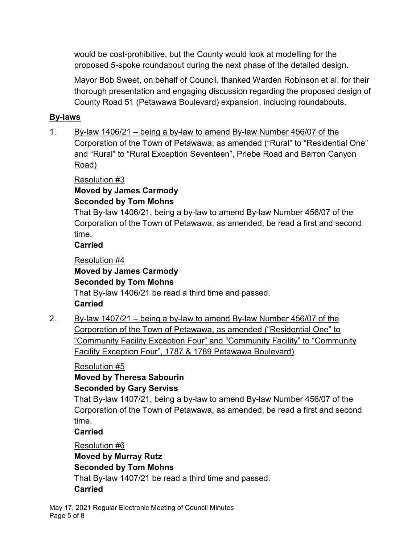would be cost-prohibitive, but the County would look at modelling for the proposed 5-spoke roundabout during the next phase of the detailed design.

Mayor Bob Sweet, on behalf of Council, thanked Warden Robinson et al. for their thorough presentation and engaging discussion regarding the proposed design of County Road 51 (Petawawa Boulevard) expansion, including roundabouts.

# **By-laws**

1. By-law 1406/21 – being a by-law to amend By-law Number 456/07 of the Corporation of the Town of Petawawa, as amended ("Rural" to "Residential One" and "Rural" to "Rural Exception Seventeen", Priebe Road and Barron Canyon Road)

Resolution #3

**Moved by James Carmody Seconded by Tom Mohns**

That By-law 1406/21, being a by-law to amend By-law Number 456/07 of the Corporation of the Town of Petawawa, as amended, be read a first and second time.

# **Carried**

Resolution #4 **Moved by James Carmody Seconded by Tom Mohns** That By-law 1406/21 be read a third time and passed. **Carried**

2. By-law 1407/21 – being a by-law to amend By-law Number 456/07 of the Corporation of the Town of Petawawa, as amended ("Residential One" to "Community Facility Exception Four" and "Community Facility" to "Community Facility Exception Four", 1787 & 1789 Petawawa Boulevard)

# Resolution #5

# **Moved by Theresa Sabourin Seconded by Gary Serviss**

That By-law 1407/21, being a by-law to amend By-law Number 456/07 of the Corporation of the Town of Petawawa, as amended, be read a first and second time.

# **Carried**

Resolution #6

# **Moved by Murray Rutz**

**Seconded by Tom Mohns**

That By-law 1407/21 be read a third time and passed.

# **Carried**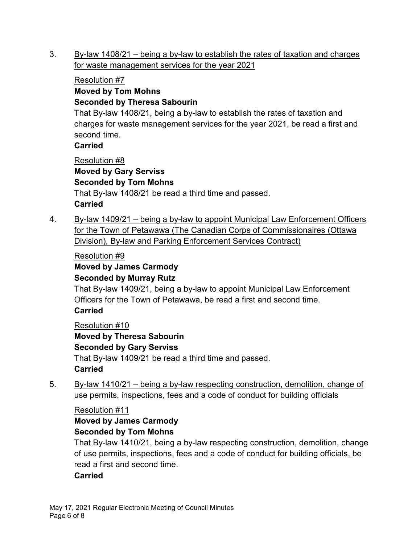3. By-law 1408/21 – being a by-law to establish the rates of taxation and charges for waste management services for the year 2021

### Resolution #7

#### **Moved by Tom Mohns Seconded by Theresa Sabourin**

That By-law 1408/21, being a by-law to establish the rates of taxation and charges for waste management services for the year 2021, be read a first and second time.

## **Carried**

Resolution #8

**Moved by Gary Serviss Seconded by Tom Mohns** That By-law 1408/21 be read a third time and passed. **Carried**

4. By-law 1409/21 – being a by-law to appoint Municipal Law Enforcement Officers for the Town of Petawawa (The Canadian Corps of Commissionaires (Ottawa Division), By-law and Parking Enforcement Services Contract)

## Resolution #9

#### **Moved by James Carmody Seconded by Murray Rutz**

That By-law 1409/21, being a by-law to appoint Municipal Law Enforcement Officers for the Town of Petawawa, be read a first and second time. **Carried**

Resolution #10

**Moved by Theresa Sabourin Seconded by Gary Serviss** That By-law 1409/21 be read a third time and passed. **Carried**

5. By-law 1410/21 – being a by-law respecting construction, demolition, change of use permits, inspections, fees and a code of conduct for building officials

#### Resolution #11

# **Moved by James Carmody Seconded by Tom Mohns**

That By-law 1410/21, being a by-law respecting construction, demolition, change of use permits, inspections, fees and a code of conduct for building officials, be read a first and second time.

#### **Carried**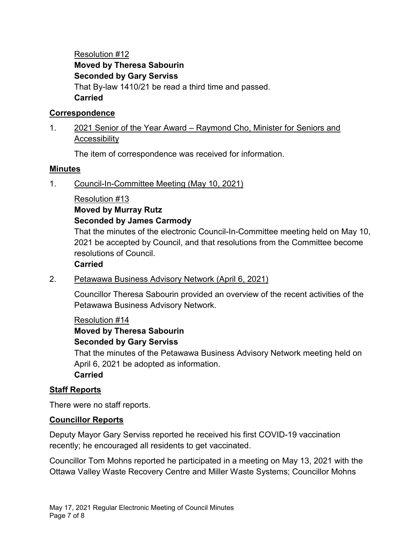Resolution #12 **Moved by Theresa Sabourin Seconded by Gary Serviss** That By-law 1410/21 be read a third time and passed. **Carried**

#### **Correspondence**

### 1. 2021 Senior of the Year Award – Raymond Cho, Minister for Seniors and **Accessibility**

The item of correspondence was received for information.

#### **Minutes**

1. Council-In-Committee Meeting (May 10, 2021)

#### Resolution #13

# **Moved by Murray Rutz**

#### **Seconded by James Carmody**

That the minutes of the electronic Council-In-Committee meeting held on May 10, 2021 be accepted by Council, and that resolutions from the Committee become resolutions of Council.

#### **Carried**

#### 2. Petawawa Business Advisory Network (April 6, 2021)

Councillor Theresa Sabourin provided an overview of the recent activities of the Petawawa Business Advisory Network.

#### Resolution #14

# **Moved by Theresa Sabourin Seconded by Gary Serviss**

That the minutes of the Petawawa Business Advisory Network meeting held on April 6, 2021 be adopted as information. **Carried**

#### **Staff Reports**

There were no staff reports.

#### **Councillor Reports**

Deputy Mayor Gary Serviss reported he received his first COVID-19 vaccination recently; he encouraged all residents to get vaccinated.

Councillor Tom Mohns reported he participated in a meeting on May 13, 2021 with the Ottawa Valley Waste Recovery Centre and Miller Waste Systems; Councillor Mohns